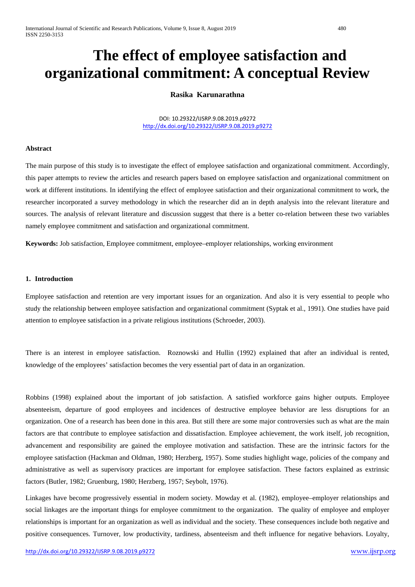# **The effect of employee satisfaction and organizational commitment: A conceptual Review**

# **Rasika Karunarathna**

DOI: 10.29322/IJSRP.9.08.2019.p9272 <http://dx.doi.org/10.29322/IJSRP.9.08.2019.p9272>

### **Abstract**

The main purpose of this study is to investigate the effect of employee satisfaction and organizational commitment. Accordingly, this paper attempts to review the articles and research papers based on employee satisfaction and organizational commitment on work at different institutions. In identifying the effect of employee satisfaction and their organizational commitment to work, the researcher incorporated a survey methodology in which the researcher did an in depth analysis into the relevant literature and sources. The analysis of relevant literature and discussion suggest that there is a better co-relation between these two variables namely employee commitment and satisfaction and organizational commitment.

**Keywords:** Job satisfaction, Employee commitment, employee–employer relationships, working environment

# **1. Introduction**

Employee satisfaction and retention are very important issues for an organization. And also it is very essential to people who study the relationship between employee satisfaction and organizational commitment (Syptak et al., 1991). One studies have paid attention to employee satisfaction in a private religious institutions (Schroeder, 2003).

There is an interest in employee satisfaction. Roznowski and Hullin (1992) explained that after an individual is rented, knowledge of the employees' satisfaction becomes the very essential part of data in an organization.

Robbins (1998) explained about the important of job satisfaction. A satisfied workforce gains higher outputs. Employee absenteeism, departure of good employees and incidences of destructive employee behavior are less disruptions for an organization. One of a research has been done in this area. But still there are some major controversies such as what are the main factors are that contribute to employee satisfaction and dissatisfaction. Employee achievement, the work itself, job recognition, advancement and responsibility are gained the employee motivation and satisfaction. These are the intrinsic factors for the employee satisfaction (Hackman and Oldman, 1980; Herzberg, 1957). Some studies highlight wage, policies of the company and administrative as well as supervisory practices are important for employee satisfaction. These factors explained as extrinsic factors (Butler, 1982; Gruenburg, 1980; Herzberg, 1957; Seybolt, 1976).

Linkages have become progressively essential in modern society. Mowday et al. (1982), employee–employer relationships and social linkages are the important things for employee commitment to the organization. The quality of employee and employer relationships is important for an organization as well as individual and the society. These consequences include both negative and positive consequences. Turnover, low productivity, tardiness, absenteeism and theft influence for negative behaviors. Loyalty,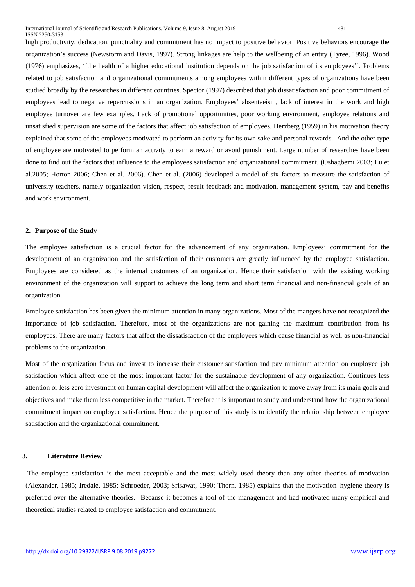high productivity, dedication, punctuality and commitment has no impact to positive behavior. Positive behaviors encourage the organization's success (Newstorm and Davis, 1997). Strong linkages are help to the wellbeing of an entity (Tyree, 1996). Wood (1976) emphasizes, ''the health of a higher educational institution depends on the job satisfaction of its employees''. Problems related to job satisfaction and organizational commitments among employees within different types of organizations have been studied broadly by the researches in different countries. Spector (1997) described that job dissatisfaction and poor commitment of employees lead to negative repercussions in an organization. Employees' absenteeism, lack of interest in the work and high employee turnover are few examples. Lack of promotional opportunities, poor working environment, employee relations and unsatisfied supervision are some of the factors that affect job satisfaction of employees. Herzberg (1959) in his motivation theory explained that some of the employees motivated to perform an activity for its own sake and personal rewards. And the other type of employee are motivated to perform an activity to earn a reward or avoid punishment. Large number of researches have been done to find out the factors that influence to the employees satisfaction and organizational commitment. (Oshagbemi 2003; Lu et al.2005; Horton 2006; Chen et al. 2006). Chen et al. (2006) developed a model of six factors to measure the satisfaction of university teachers, namely organization vision, respect, result feedback and motivation, management system, pay and benefits and work environment.

#### **2. Purpose of the Study**

The employee satisfaction is a crucial factor for the advancement of any organization. Employees' commitment for the development of an organization and the satisfaction of their customers are greatly influenced by the employee satisfaction. Employees are considered as the internal customers of an organization. Hence their satisfaction with the existing working environment of the organization will support to achieve the long term and short term financial and non-financial goals of an organization.

Employee satisfaction has been given the minimum attention in many organizations. Most of the mangers have not recognized the importance of job satisfaction. Therefore, most of the organizations are not gaining the maximum contribution from its employees. There are many factors that affect the dissatisfaction of the employees which cause financial as well as non-financial problems to the organization.

Most of the organization focus and invest to increase their customer satisfaction and pay minimum attention on employee job satisfaction which affect one of the most important factor for the sustainable development of any organization. Continues less attention or less zero investment on human capital development will affect the organization to move away from its main goals and objectives and make them less competitive in the market. Therefore it is important to study and understand how the organizational commitment impact on employee satisfaction. Hence the purpose of this study is to identify the relationship between employee satisfaction and the organizational commitment.

# **3. Literature Review**

The employee satisfaction is the most acceptable and the most widely used theory than any other theories of motivation (Alexander, 1985; Iredale, 1985; Schroeder, 2003; Srisawat, 1990; Thorn, 1985) explains that the motivation–hygiene theory is preferred over the alternative theories. Because it becomes a tool of the management and had motivated many empirical and theoretical studies related to employee satisfaction and commitment.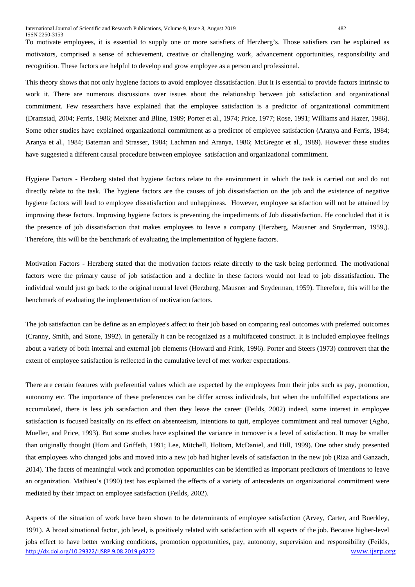To motivate employees, it is essential to supply one or more satisfiers of Herzberg's. Those satisfiers can be explained as motivators, comprised a sense of achievement, creative or challenging work, advancement opportunities, responsibility and recognition. These factors are helpful to develop and grow employee as a person and professional.

This theory shows that not only hygiene factors to avoid employee dissatisfaction. But it is essential to provide factors intrinsic to work it. There are numerous discussions over issues about the relationship between job satisfaction and organizational commitment. Few researchers have explained that the employee satisfaction is a predictor of organizational commitment (Dramstad, 2004; Ferris, 1986; Meixner and Bline, 1989; Porter et al., 1974; Price, 1977; Rose, 1991; Williams and Hazer, 1986). Some other studies have explained organizational commitment as a predictor of employee satisfaction (Aranya and Ferris, 1984; Aranya et al., 1984; Bateman and Strasser, 1984; Lachman and Aranya, 1986; McGregor et al., 1989). However these studies have suggested a different causal procedure between employee satisfaction and organizational commitment.

Hygiene Factors - Herzberg stated that hygiene factors relate to the environment in which the task is carried out and do not directly relate to the task. The hygiene factors are the causes of job dissatisfaction on the job and the existence of negative hygiene factors will lead to employee dissatisfaction and unhappiness. However, employee satisfaction will not be attained by improving these factors. Improving hygiene factors is preventing the impediments of Job dissatisfaction. He concluded that it is the presence of job dissatisfaction that makes employees to leave a company (Herzberg, Mausner and Snyderman, 1959,). Therefore, this will be the benchmark of evaluating the implementation of hygiene factors.

Motivation Factors **-** Herzberg stated that the motivation factors relate directly to the task being performed. The motivational factors were the primary cause of job satisfaction and a decline in these factors would not lead to job dissatisfaction. The individual would just go back to the original neutral level (Herzberg, Mausner and Snyderman, 1959). Therefore, this will be the benchmark of evaluating the implementation of motivation factors.

The job satisfaction can be define as an employee's affect to their job based on comparing real outcomes with preferred outcomes (Cranny, Smith, and Stone, 1992). In generally it can be recognized as a multifaceted construct. It is included employee feelings about a variety of both internal and external job elements (Howard and Frink, 1996). Porter and Steers (1973) controvert that the extent of employee satisfaction is reflected in the cumulative level of met worker expectations.

There are certain features with preferential values which are expected by the employees from their jobs such as pay, promotion, autonomy etc. The importance of these preferences can be differ across individuals, but when the unfulfilled expectations are accumulated, there is less job satisfaction and then they leave the career (Feilds, 2002) indeed, some interest in employee satisfaction is focused basically on its effect on absenteeism, intentions to quit, employee commitment and real turnover (Agho, Mueller, and Price, 1993). But some studies have explained the variance in turnover is a level of satisfaction. It may be smaller than originally thought (Hom and Griffeth, 1991; Lee, Mitchell, Holtom, McDaniel, and Hill, 1999). One other study presented that employees who changed jobs and moved into a new job had higher levels of satisfaction in the new job (Riza and Ganzach, 2014). The facets of meaningful work and promotion opportunities can be identified as important predictors of intentions to leave an organization. Mathieu's (1990) test has explained the effects of a variety of antecedents on organizational commitment were mediated by their impact on employee satisfaction (Feilds, 2002).

<http://dx.doi.org/10.29322/IJSRP.9.08.2019.p9272> [www.ijsrp.org](http://ijsrp.org/) Aspects of the situation of work have been shown to be determinants of employee satisfaction (Arvey, Carter, and Buerkley, 1991). A broad situational factor, job level, is positively related with satisfaction with all aspects of the job. Because higher-level jobs effect to have better working conditions, promotion opportunities, pay, autonomy, supervision and responsibility (Feilds,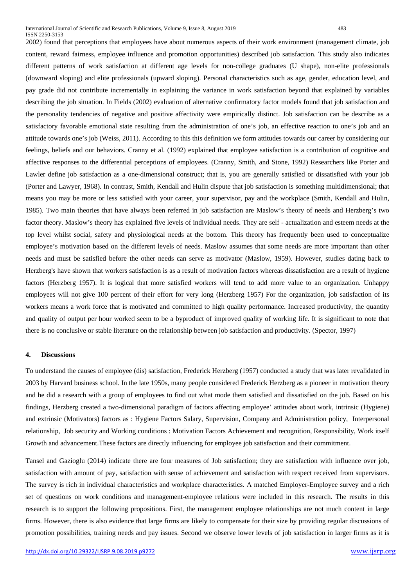2002) found that perceptions that employees have about numerous aspects of their work environment (management climate, job content, reward fairness, employee influence and promotion opportunities) described job satisfaction. This study also indicates different patterns of work satisfaction at different age levels for non-college graduates (U shape), non-elite professionals (downward sloping) and elite professionals (upward sloping). Personal characteristics such as age, gender, education level, and pay grade did not contribute incrementally in explaining the variance in work satisfaction beyond that explained by variables describing the job situation. In Fields (2002) evaluation of alternative confirmatory factor models found that job satisfaction and the personality tendencies of negative and positive affectivity were empirically distinct. Job satisfaction can be describe as a satisfactory favorable emotional state resulting from the administration of one's job, an effective reaction to one's job and an attitude towards one's job (Weiss, 2011). According to this this definition we form attitudes towards our career by considering our feelings, beliefs and our behaviors. Cranny et al. (1992) explained that employee satisfaction is a contribution of cognitive and affective responses to the differential perceptions of employees. (Cranny, Smith, and Stone, 1992) Researchers like Porter and Lawler define job satisfaction as a one-dimensional construct; that is, you are generally satisfied or dissatisfied with your job (Porter and Lawyer, 1968). In contrast, Smith, Kendall and Hulin dispute that job satisfaction is something multidimensional; that means you may be more or less satisfied with your career, your supervisor, pay and the workplace (Smith, Kendall and Hulin, 1985). Two main theories that have always been referred in job satisfaction are Maslow's theory of needs and Herzberg's two factor theory. Maslow's theory has explained five levels of individual needs. They are self - actualization and esteem needs at the top level whilst social, safety and physiological needs at the bottom. This theory has frequently been used to conceptualize employee's motivation based on the different levels of needs. Maslow assumes that some needs are more important than other needs and must be satisfied before the other needs can serve as motivator (Maslow, 1959). However, studies dating back to Herzberg's have shown that workers satisfaction is as a result of motivation factors whereas dissatisfaction are a result of hygiene factors (Herzberg 1957). It is logical that more satisfied workers will tend to add more value to an organization. Unhappy employees will not give 100 percent of their effort for very long (Herzberg 1957) For the organization, job satisfaction of its workers means a work force that is motivated and committed to high quality performance. Increased productivity, the quantity and quality of output per hour worked seem to be a byproduct of improved quality of working life. It is significant to note that there is no conclusive or stable literature on the relationship between job satisfaction and productivity. (Spector, 1997)

# **4. Discussions**

To understand the causes of employee (dis) satisfaction, Frederick Herzberg (1957) conducted a study that was later revalidated in 2003 by Harvard business school. In the late 1950s, many people considered Frederick Herzberg as a pioneer in motivation theory and he did a research with a group of employees to find out what mode them satisfied and dissatisfied on the job. Based on his findings, Herzberg created a two-dimensional paradigm of factors affecting employee' attitudes about work, intrinsic (Hygiene) and extrinsic (Motivators) factors as : Hygiene Factors Salary, Supervision, Company and Administration policy, Interpersonal relationship, Job security and Working conditions : Motivation Factors Achievement and recognition, Responsibility, Work itself Growth and advancement.These factors are directly influencing for employee job satisfaction and their commitment.

Tansel and Gazioglu (2014) indicate there are four measures of Job satisfaction; they are satisfaction with influence over job, satisfaction with amount of pay, satisfaction with sense of achievement and satisfaction with respect received from supervisors. The survey is rich in individual characteristics and workplace characteristics. A matched Employer-Employee survey and a rich set of questions on work conditions and management-employee relations were included in this research. The results in this research is to support the following propositions. First, the management employee relationships are not much content in large firms. However, there is also evidence that large firms are likely to compensate for their size by providing regular discussions of promotion possibilities, training needs and pay issues. Second we observe lower levels of job satisfaction in larger firms as it is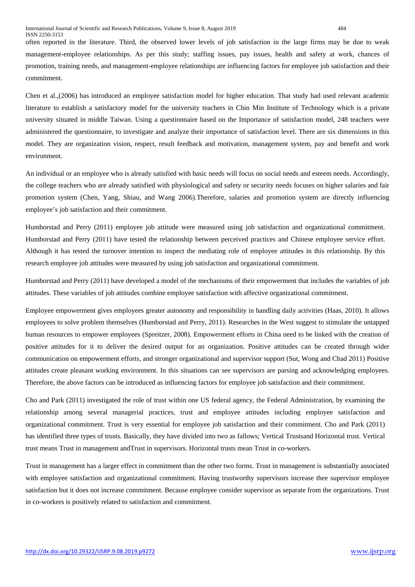often reported in the literature. Third, the observed lower levels of job satisfaction in the large firms may be due to weak management-employee relationships. As per this study; staffing issues, pay issues, health and safety at work, chances of promotion, training needs, and management-employee relationships are influencing factors for employee job satisfaction and their commitment.

Chen et al.,(2006) has introduced an employee satisfaction model for higher education. That study had used relevant academic literature to establish a satisfactory model for the university teachers in Chin Min Institute of Technology which is a private university situated in middle Taiwan. Using a questionnaire based on the Importance of satisfaction model, 248 teachers were administered the questionnaire, to investigate and analyze their importance of satisfaction level. There are six dimensions in this model. They are organization vision, respect, result feedback and motivation, management system, pay and benefit and work environment.

An individual or an employee who is already satisfied with basic needs will focus on social needs and esteem needs. Accordingly, the college teachers who are already satisfied with physiological and safety or security needs focuses on higher salaries and fair promotion system (Chen, Yang, Shiau, and Wang 2006).Therefore, salaries and promotion system are directly influencing employee's job satisfaction and their commitment.

Humborstad and Perry (2011) employee job attitude were measured using job satisfaction and organizational commitment. Humborstad and Perry (2011) have tested the relationship between perceived practices and Chinese employee service effort. Although it has tested the turnover intention to inspect the mediating role of employee attitudes in this relationship. By this research employee job attitudes were measured by using job satisfaction and organizational commitment.

Humborstad and Perry (2011) have developed a model of the mechanisms of their empowerment that includes the variables of job attitudes. These variables of job attitudes combine employee satisfaction with affective organizational commitment.

Employee empowerment gives employees greater autonomy and responsibility in handling daily activities (Haas, 2010). It allows employees to solve problem themselves (Humborstad and Perry, 2011). Researches in the West suggest to stimulate the untapped human resources to empower employees (Spreitzer, 2008). Empowerment efforts in China need to be linked with the creation of positive attitudes for it to deliver the desired output for an organization. Positive attitudes can be created through wider communication on empowerment efforts, and stronger organizational and supervisor support (Sut, Wong and Chad 2011) Positive attitudes create pleasant working environment. In this situations can see supervisors are parsing and acknowledging employees. Therefore, the above factors can be introduced as influencing factors for employee job satisfaction and their commitment.

Cho and Park (2011) investigated the role of trust within one US federal agency, the Federal Administration, by examining the relationship among several managerial practices, trust and employee attitudes including employee satisfaction and organizational commitment. Trust is very essential for employee job satisfaction and their commitment. Cho and Park (2011) has identified three types of trusts. Basically, they have divided into two as fallows; Vertical Trustsand Horizontal trust. Vertical trust means Trust in management andTrust in supervisors. Horizontal trusts mean Trust in co-workers.

Trust in management has a larger effect in commitment than the other two forms. Trust in management is substantially associated with employee satisfaction and organizational commitment. Having trustworthy supervisors increase thee supervisor employee satisfaction but it does not increase commitment. Because employee consider supervisor as separate from the organizations. Trust in co-workers is positively related to satisfaction and commitment.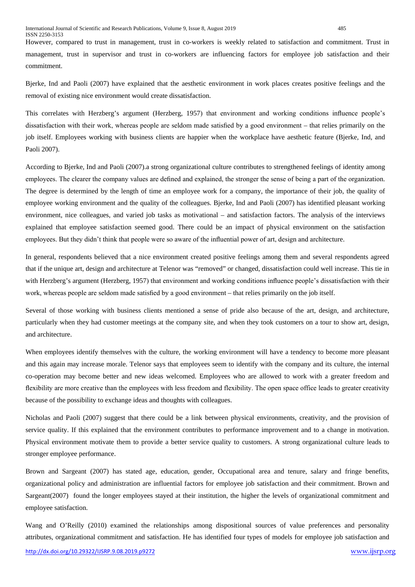However, compared to trust in management, trust in co-workers is weekly related to satisfaction and commitment. Trust in management, trust in supervisor and trust in co-workers are influencing factors for employee job satisfaction and their commitment.

Bjerke, Ind and Paoli (2007) have explained that the aesthetic environment in work places creates positive feelings and the removal of existing nice environment would create dissatisfaction.

This correlates with Herzberg's argument (Herzberg, 1957) that environment and working conditions influence people's dissatisfaction with their work, whereas people are seldom made satisfied by a good environment – that relies primarily on the job itself. Employees working with business clients are happier when the workplace have aesthetic feature (Bjerke, Ind, and Paoli 2007).

According to Bjerke, Ind and Paoli (2007).a strong organizational culture contributes to strengthened feelings of identity among employees. The clearer the company values are defined and explained, the stronger the sense of being a part of the organization. The degree is determined by the length of time an employee work for a company, the importance of their job, the quality of employee working environment and the quality of the colleagues. Bjerke, Ind and Paoli (2007) has identified pleasant working environment, nice colleagues, and varied job tasks as motivational – and satisfaction factors. The analysis of the interviews explained that employee satisfaction seemed good. There could be an impact of physical environment on the satisfaction employees. But they didn't think that people were so aware of the influential power of art, design and architecture.

In general, respondents believed that a nice environment created positive feelings among them and several respondents agreed that if the unique art, design and architecture at Telenor was "removed" or changed, dissatisfaction could well increase. This tie in with Herzberg's argument (Herzberg, 1957) that environment and working conditions influence people's dissatisfaction with their work, whereas people are seldom made satisfied by a good environment – that relies primarily on the job itself.

Several of those working with business clients mentioned a sense of pride also because of the art, design, and architecture, particularly when they had customer meetings at the company site, and when they took customers on a tour to show art, design, and architecture.

When employees identify themselves with the culture, the working environment will have a tendency to become more pleasant and this again may increase morale. Telenor says that employees seem to identify with the company and its culture, the internal co-operation may become better and new ideas welcomed. Employees who are allowed to work with a greater freedom and flexibility are more creative than the employees with less freedom and flexibility. The open space office leads to greater creativity because of the possibility to exchange ideas and thoughts with colleagues.

Nicholas and Paoli (2007) suggest that there could be a link between physical environments, creativity, and the provision of service quality. If this explained that the environment contributes to performance improvement and to a change in motivation. Physical environment motivate them to provide a better service quality to customers. A strong organizational culture leads to stronger employee performance.

Brown and Sargeant (2007) has stated age, education, gender, Occupational area and tenure, salary and fringe benefits, organizational policy and administration are influential factors for employee job satisfaction and their commitment. Brown and Sargeant(2007) found the longer employees stayed at their institution, the higher the levels of organizational commitment and employee satisfaction.

Wang and O'Reilly (2010) examined the relationships among dispositional sources of value preferences and personality attributes, organizational commitment and satisfaction. He has identified four types of models for employee job satisfaction and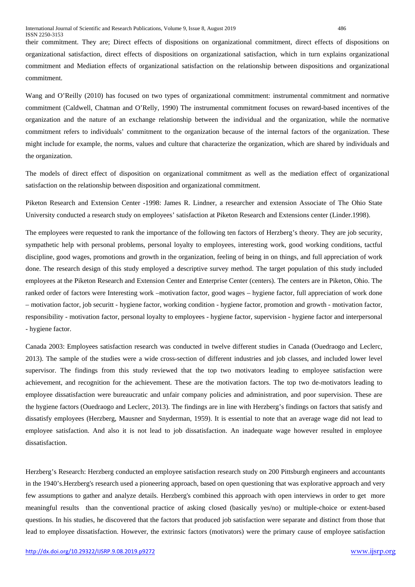their commitment. They are; Direct effects of dispositions on organizational commitment, direct effects of dispositions on organizational satisfaction, direct effects of dispositions on organizational satisfaction, which in turn explains organizational commitment and Mediation effects of organizational satisfaction on the relationship between dispositions and organizational commitment.

Wang and O'Reilly (2010) has focused on two types of organizational commitment: instrumental commitment and normative commitment (Caldwell, Chatman and O'Relly, 1990) The instrumental commitment focuses on reward-based incentives of the organization and the nature of an exchange relationship between the individual and the organization, while the normative commitment refers to individuals' commitment to the organization because of the internal factors of the organization. These might include for example, the norms, values and culture that characterize the organization, which are shared by individuals and the organization.

The models of direct effect of disposition on organizational commitment as well as the mediation effect of organizational satisfaction on the relationship between disposition and organizational commitment.

Piketon Research and Extension Center -1998: James R. Lindner, a researcher and extension Associate of The Ohio State University conducted a research study on employees' satisfaction at Piketon Research and Extensions center (Linder.1998).

The employees were requested to rank the importance of the following ten factors of Herzberg's theory. They are job security, sympathetic help with personal problems, personal loyalty to employees, interesting work, good working conditions, tactful discipline, good wages, promotions and growth in the organization, feeling of being in on things, and full appreciation of work done. The research design of this study employed a descriptive survey method. The target population of this study included employees at the Piketon Research and Extension Center and Enterprise Center (centers). The centers are in Piketon, Ohio. The ranked order of factors were Interesting work –motivation factor, good wages – hygiene factor, full appreciation of work done – motivation factor, job securitt - hygiene factor, working condition - hygiene factor, promotion and growth - motivation factor, responsibility - motivation factor, personal loyalty to employees - hygiene factor, supervision - hygiene factor and interpersonal - hygiene factor.

Canada 2003: Employees satisfaction research was conducted in twelve different studies in Canada (Ouedraogo and Leclerc, 2013). The sample of the studies were a wide cross-section of different industries and job classes, and included lower level supervisor. The findings from this study reviewed that the top two motivators leading to employee satisfaction were achievement, and recognition for the achievement. These are the motivation factors. The top two de-motivators leading to employee dissatisfaction were bureaucratic and unfair company policies and administration, and poor supervision. These are the hygiene factors (Ouedraogo and Leclerc, 2013). The findings are in line with Herzberg's findings on factors that satisfy and dissatisfy employees (Herzberg, Mausner and Snyderman, 1959). It is essential to note that an average wage did not lead to employee satisfaction. And also it is not lead to job dissatisfaction. An inadequate wage however resulted in employee dissatisfaction.

Herzberg's Research: Herzberg conducted an employee satisfaction research study on 200 Pittsburgh engineers and accountants in the 1940's.Herzberg's research used a pioneering approach, based on open questioning that was explorative approach and very few assumptions to gather and analyze details. Herzberg's combined this approach with open interviews in order to get more meaningful results than the conventional practice of asking closed (basically yes/no) or multiple-choice or extent-based questions. In his studies, he discovered that the factors that produced job satisfaction were separate and distinct from those that lead to employee dissatisfaction. However, the extrinsic factors (motivators) were the primary cause of employee satisfaction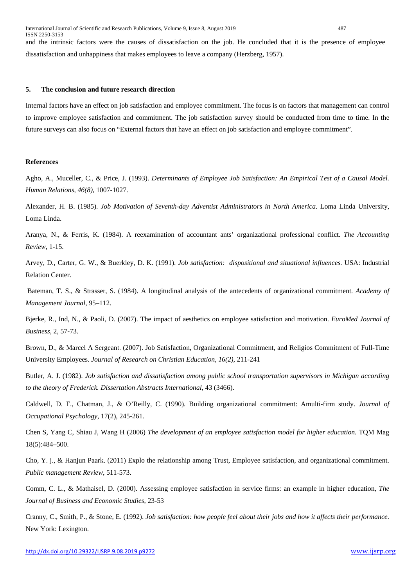ISSN 2250-3153 and the intrinsic factors were the causes of dissatisfaction on the job. He concluded that it is the presence of employee dissatisfaction and unhappiness that makes employees to leave a company (Herzberg, 1957).

#### **5. The conclusion and future research direction**

Internal factors have an effect on job satisfaction and employee commitment. The focus is on factors that management can control to improve employee satisfaction and commitment. The job satisfaction survey should be conducted from time to time. In the future surveys can also focus on "External factors that have an effect on job satisfaction and employee commitment".

#### **References**

Agho, A., Muceller, C., & Price, J. (1993). *Determinants of Employee Job Satisfaction: An Empirical Test of a Causal Model. Human Relations, 46(8),* 1007-1027.

Alexander, H. B. (1985). *Job Motivation of Seventh-day Adventist Administrators in North America.* Loma Linda University, Loma Linda.

Aranya, N., & Ferris, K. (1984). A reexamination of accountant ants' organizational professional conflict. *The Accounting Review*, 1-15.

Arvey, D., Carter, G. W., & Buerkley, D. K. (1991). *Job satisfaction: dispositional and situational influences.* USA: Industrial Relation Center.

Bateman, T. S., & Strasser, S. (1984). A longitudinal analysis of the antecedents of organizational commitment. *Academy of Management Journal*, 95–112.

Bjerke, R., Ind, N., & Paoli, D. (2007). The impact of aesthetics on employee satisfaction and motivation. *EuroMed Journal of Business*, 2, 57-73.

Brown, D., & Marcel A Sergeant. (2007). Job Satisfaction, Organizational Commitment, and Religios Commitment of Full-Time University Employees. *Journal of Research on Christian Education, 16(2),* 211-241

Butler, A. J. (1982). *Job satisfaction and dissatisfaction among public school transportation supervisors in Michigan according to the theory of Frederick. Dissertation Abstracts International*, 43 (3466).

Caldwell, D. F., Chatman, J., & O'Reilly, C. (1990). Building organizational commitment: Amulti-firm study. *Journal of Occupational Psychology*, 17(2), 245-261.

Chen S, Yang C, Shiau J, Wang H (2006) *The development of an employee satisfaction model for higher education.* TQM Mag 18(5):484–500.

Cho, Y. j., & Hanjun Paark. (2011) Explo the relationship among Trust, Employee satisfaction, and organizational commitment. *Public management Review*, 511-573.

Comm, C. L., & Mathaisel, D. (2000). Assessing employee satisfaction in service firms: an example in higher education, *The Journal of Business and Economic Studies*, 23-53

Cranny, C., Smith, P., & Stone, E. (1992). *Job satisfaction: how people feel about their jobs and how it affects their performance*. New York: Lexington.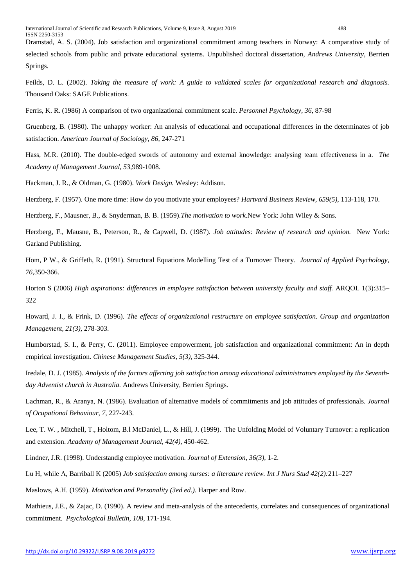Dramstad, A. S. (2004). Job satisfaction and organizational commitment among teachers in Norway: A comparative study of selected schools from public and private educational systems. Unpublished doctoral dissertation, *Andrews University*, Berrien Springs.

Feilds, D. L. (2002). *Taking the measure of work: A guide to validated scales for organizational research and diagnosis.* Thousand Oaks: SAGE Publications.

Ferris, K. R. (1986) A comparison of two organizational commitment scale. *Personnel Psychology, 36,* 87-98

Gruenberg, B. (1980). The unhappy worker: An analysis of educational and occupational differences in the determinates of job satisfaction. *American Journal of Sociology, 86*, 247-271

Hass, M.R. (2010). The double-edged swords of autonomy and external knowledge: analysing team effectiveness in a. *The Academy of Management Journal, 53*,989-1008.

Hackman, J. R., & Oldman, G. (1980). *Work Design.* Wesley: Addison.

Herzberg, F. (1957). One more time: How do you motivate your employees? *Hartvard Business Review, 659(5)*, 113-118, 170.

Herzberg, F., Mausner, B., & Snyderman, B. B. (1959).*The motivation to work*.New York: John Wiley & Sons.

Herzberg, F., Mausne, B., Peterson, R., & Capwell, D. (1987). *Job attitudes: Review of research and opinion.* New York: Garland Publishing.

Hom, P W., & Griffeth, R. (1991). Structural Equations Modelling Test of a Turnover Theory. *Journal of Applied Psychology, 76*,350-366.

Horton S (2006) *High aspirations: differences in employee satisfaction between university faculty and staff.* ARQOL 1(3):315– 322

Howard, J. I., & Frink, D. (1996). *The effects of organizational restructure on employee satisfaction. Group and organization Management, 21(3),* 278-303.

Humborstad, S. I., & Perry, C. (2011). Employee empowerment, job satisfaction and organizational commitment: An in depth empirical investigation. *Chinese Management Studies, 5(3),* 325-344.

Iredale, D. J. (1985). *Analysis of the factors affecting job satisfaction among educational administrators employed by the Seventhday Adventist church in Australia.* Andrews University, Berrien Springs.

Lachman, R., & Aranya, N. (1986). Evaluation of alternative models of commitments and job attitudes of professionals. *Journal of Ocupational Behaviour, 7*, 227-243.

Lee, T. W. , Mitchell, T., Holtom, B.l McDaniel, L., & Hill, J. (1999). The Unfolding Model of Voluntary Turnover: a replication and extension. *Academy of Management Journal, 42(4),* 450-462.

Lindner, J.R. (1998). Understandig employee motivation. *Journal of Extension, 36(3),* 1-2.

Lu H, while A, Barriball K (2005) *Job satisfaction among nurses: a literature review. Int J Nurs Stud 42(2):*211–227

Maslows, A.H. (1959). *Motivation and Personality (3ed ed.).* Harper and Row.

Mathieus, J.E., & Zajac, D. (1990). A review and meta-analysis of the antecedents, correlates and consequences of organizational commitment. *Psychological Bulletin, 108*, 171-194.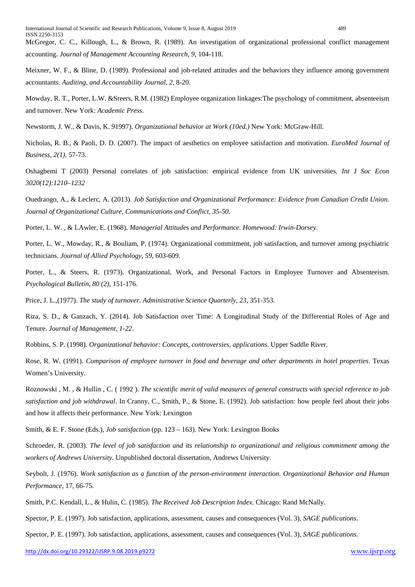McGregor, C. C., Killough, L., & Brown, R. (1989). An investigation of organizational professional conflict management accounting. *Journal of Management Accounting Research, 9,* 104-118.

Meixner, W. F., & Bline, D. (1989). Professional and job-related attitudes and the behaviors they influence among government accountants. *Auditing, and Accountability Journal, 2,* 8-20.

Mowday, R. T., Porter, L.W. &Sreers, R.M. (1982) Employee organization linkages:The psychology of commitment, absenteeism and turnover. New York: *Academic Press*.

Newstorm, J. W., & Davis, K. 91997). *Organizational behavior at Work (10ed.)* New York: McGraw-Hill.

Nicholas, R. B., & Paoli, D. D. (2007). The impact of aesthetics on employee satisfaction and motivation. *EuroMed Journal of Business, 2(1),* 57-73.

Oshagbemi T (2003) Personal correlates of job satisfaction: empirical evidence from UK universities*. Int J Soc Econ 3020(12):1210–1232*

Ouedraogo, A., & Leclerc, A. (2013). *Job Satisfaction and Organizational Performance: Evidence from Canadian Credit Union. Journal of Organizational Culture, Communications and Conflict, 35-50.*

Porter, L. W. , & LAwler, E. (1968). *Managerial Attitudes and Performance. Homewood: Irwin-Dorsey*.

Porter, L. W., Mowday, R., & Bouliam, P. (1974). Organizational commitment, job satisfaction, and turnover among psychiatric technicians. *Journal of Allied Psychology, 59,* 603-609.

Porter, L., & Steers, R. (1973). Organizational, Work, and Personal Factors in Employee Turnover and Absenteeism. *Psychological Bulletin, 80 (2),* 151-176.

Price, J. L.,(1977). *The study of turnover. Administrative Science Quarterly, 23*, 351-353.

Riza, S. D., & Ganzach, Y. (2014). Job Satisfaction over Time: A Longitudinal Study of the Differential Roles of Age and Tenure. *Journal of Management, 1-22*.

Robbins, S. P. (1998). *Organizational behavior: Concepts, controversies, applications*. Upper Saddle River.

Rose, R. W. (1991). *Comparison of employee turnover in food and beverage and other departments in hotel properties*. Texas Women's University.

Roznowski , M. , & Hullin , C. ( 1992 ). *The scientific merit of valid measures of general constructs with special reference to job satisfaction and job withdrawal*. In Cranny, C., Smith, P., & Stone, E. (1992). Job satisfaction: how people feel about their jobs and how it affects their performance. New York: Lexington

Smith, & E. F. Stone (Eds.), *Job satisfaction* (pp. 123 – 163). New York: Lexington Books

Schroeder, R. (2003). *The level of job satisfaction and its relationship to organizational and religious commitment among the workers of Andrews University*. Unpublished doctoral dissertation, Andrews University.

Seybolt, J. (1976). *Work satisfaction as a function of the person-environment interaction. Organizational Behavior and Human Performance*, 17, 66-75.

Smith, P.C. Kendall, L., & Hulin, C. (1985). *The Received Job Description Index.* Chicago: Rand McNally.

Spector, P. E. (1997). Job satisfaction, applications, assessment, causes and consequences (Vol. 3), *SAGE publications*.

Spector, P. E. (1997). Job satisfaction, applications, assessment, causes and consequences (Vol. 3), *SAGE publications*.